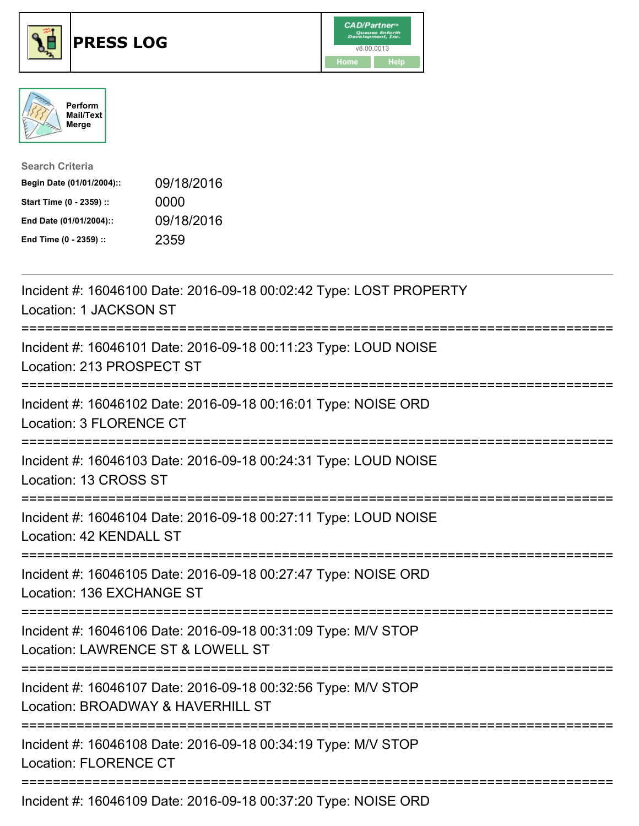





| <b>Search Criteria</b>    |            |
|---------------------------|------------|
| Begin Date (01/01/2004):: | 09/18/2016 |
| Start Time (0 - 2359) ::  | 0000       |
| End Date (01/01/2004)::   | 09/18/2016 |
| End Time (0 - 2359) ::    | 2359       |

| Incident #: 16046100 Date: 2016-09-18 00:02:42 Type: LOST PROPERTY<br>Location: 1 JACKSON ST                                         |
|--------------------------------------------------------------------------------------------------------------------------------------|
| Incident #: 16046101 Date: 2016-09-18 00:11:23 Type: LOUD NOISE<br>Location: 213 PROSPECT ST                                         |
| Incident #: 16046102 Date: 2016-09-18 00:16:01 Type: NOISE ORD<br>Location: 3 FLORENCE CT<br>-----------------------                 |
| Incident #: 16046103 Date: 2016-09-18 00:24:31 Type: LOUD NOISE<br>Location: 13 CROSS ST                                             |
| Incident #: 16046104 Date: 2016-09-18 00:27:11 Type: LOUD NOISE<br>Location: 42 KENDALL ST                                           |
| Incident #: 16046105 Date: 2016-09-18 00:27:47 Type: NOISE ORD<br>Location: 136 EXCHANGE ST                                          |
| Incident #: 16046106 Date: 2016-09-18 00:31:09 Type: M/V STOP<br>Location: LAWRENCE ST & LOWELL ST<br>:============================= |
| Incident #: 16046107 Date: 2016-09-18 00:32:56 Type: M/V STOP<br>Location: BROADWAY & HAVERHILL ST                                   |
| Incident #: 16046108 Date: 2016-09-18 00:34:19 Type: M/V STOP<br><b>Location: FLORENCE CT</b>                                        |
| Incident #: 16046109 Date: 2016-09-18 00:37:20 Type: NOISE ORD                                                                       |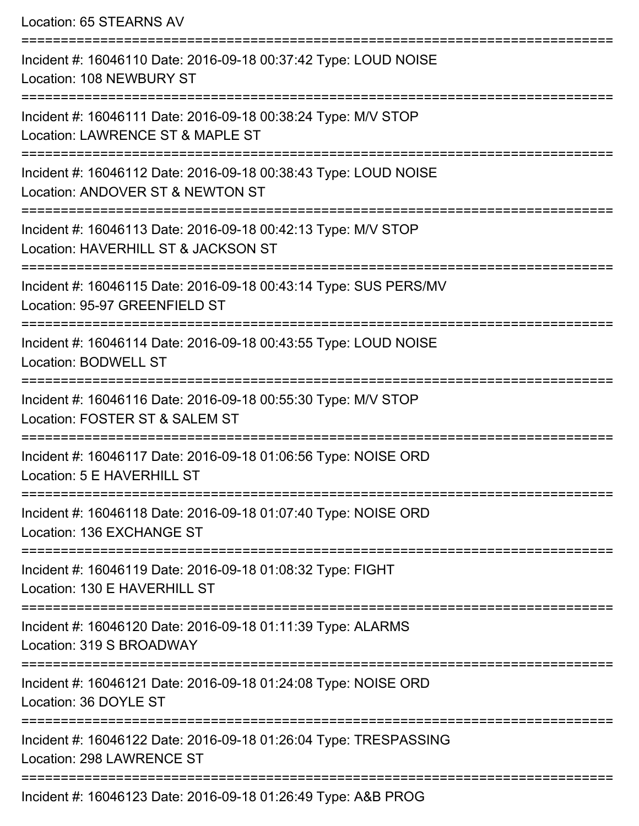Location: 65 STEARNS AV =========================================================================== Incident #: 16046110 Date: 2016-09-18 00:37:42 Type: LOUD NOISE Location: 108 NEWBURY ST =========================================================================== Incident #: 16046111 Date: 2016-09-18 00:38:24 Type: M/V STOP Location: LAWRENCE ST & MAPLE ST =========================================================================== Incident #: 16046112 Date: 2016-09-18 00:38:43 Type: LOUD NOISE Location: ANDOVER ST & NEWTON ST =========================================================================== Incident #: 16046113 Date: 2016-09-18 00:42:13 Type: M/V STOP Location: HAVERHILL ST & JACKSON ST =========================================================================== Incident #: 16046115 Date: 2016-09-18 00:43:14 Type: SUS PERS/MV Location: 95-97 GREENFIELD ST =========================================================================== Incident #: 16046114 Date: 2016-09-18 00:43:55 Type: LOUD NOISE Location: BODWELL ST =========================================================================== Incident #: 16046116 Date: 2016-09-18 00:55:30 Type: M/V STOP Location: FOSTER ST & SALEM ST =========================================================================== Incident #: 16046117 Date: 2016-09-18 01:06:56 Type: NOISE ORD Location: 5 E HAVERHILL ST =========================================================================== Incident #: 16046118 Date: 2016-09-18 01:07:40 Type: NOISE ORD Location: 136 EXCHANGE ST =========================================================================== Incident #: 16046119 Date: 2016-09-18 01:08:32 Type: FIGHT Location: 130 E HAVERHILL ST =========================================================================== Incident #: 16046120 Date: 2016-09-18 01:11:39 Type: ALARMS Location: 319 S BROADWAY =========================================================================== Incident #: 16046121 Date: 2016-09-18 01:24:08 Type: NOISE ORD Location: 36 DOYLE ST =========================================================================== Incident #: 16046122 Date: 2016-09-18 01:26:04 Type: TRESPASSING Location: 298 LAWRENCE ST ===========================================================================

Incident #: 16046123 Date: 2016-09-18 01:26:49 Type: A&B PROG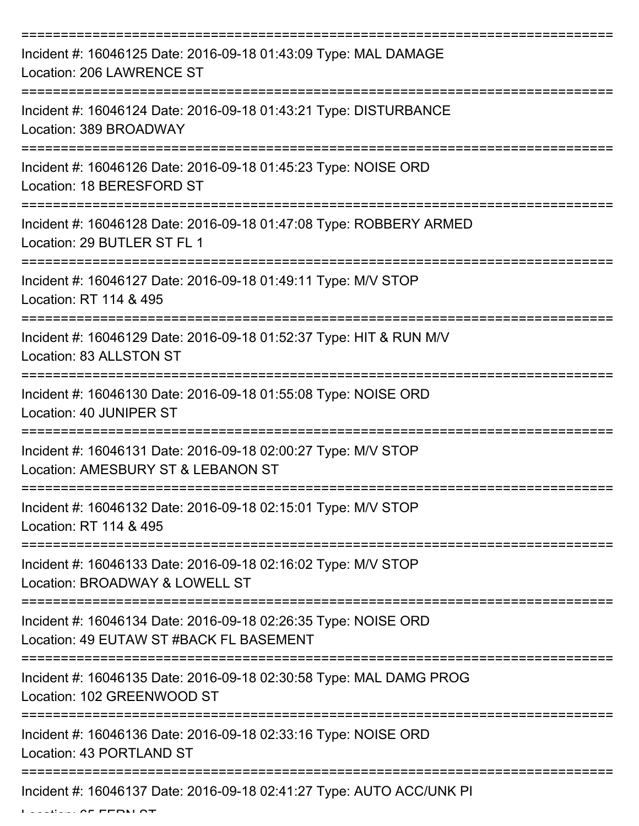| Incident #: 16046125 Date: 2016-09-18 01:43:09 Type: MAL DAMAGE<br>Location: 206 LAWRENCE ST                               |
|----------------------------------------------------------------------------------------------------------------------------|
| Incident #: 16046124 Date: 2016-09-18 01:43:21 Type: DISTURBANCE<br>Location: 389 BROADWAY                                 |
| Incident #: 16046126 Date: 2016-09-18 01:45:23 Type: NOISE ORD<br>Location: 18 BERESFORD ST                                |
| Incident #: 16046128 Date: 2016-09-18 01:47:08 Type: ROBBERY ARMED<br>Location: 29 BUTLER ST FL 1                          |
| Incident #: 16046127 Date: 2016-09-18 01:49:11 Type: M/V STOP<br>Location: RT 114 & 495<br>=============================== |
| Incident #: 16046129 Date: 2016-09-18 01:52:37 Type: HIT & RUN M/V<br>Location: 83 ALLSTON ST                              |
| Incident #: 16046130 Date: 2016-09-18 01:55:08 Type: NOISE ORD<br>Location: 40 JUNIPER ST                                  |
| Incident #: 16046131 Date: 2016-09-18 02:00:27 Type: M/V STOP<br>Location: AMESBURY ST & LEBANON ST                        |
| Incident #: 16046132 Date: 2016-09-18 02:15:01 Type: M/V STOP<br>Location: RT 114 & 495                                    |
| Incident #: 16046133 Date: 2016-09-18 02:16:02 Type: M/V STOP<br>Location: BROADWAY & LOWELL ST                            |
| Incident #: 16046134 Date: 2016-09-18 02:26:35 Type: NOISE ORD<br>Location: 49 EUTAW ST #BACK FL BASEMENT                  |
| Incident #: 16046135 Date: 2016-09-18 02:30:58 Type: MAL DAMG PROG<br>Location: 102 GREENWOOD ST                           |
| Incident #: 16046136 Date: 2016-09-18 02:33:16 Type: NOISE ORD<br>Location: 43 PORTLAND ST                                 |
| Incident #: 16046137 Date: 2016-09-18 02:41:27 Type: AUTO ACC/UNK PI                                                       |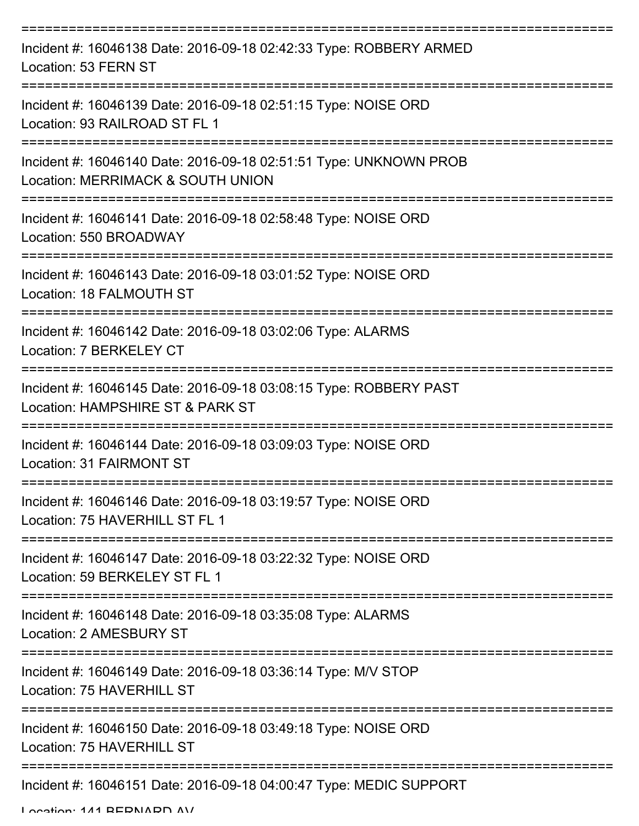| Incident #: 16046138 Date: 2016-09-18 02:42:33 Type: ROBBERY ARMED<br>Location: 53 FERN ST             |
|--------------------------------------------------------------------------------------------------------|
| Incident #: 16046139 Date: 2016-09-18 02:51:15 Type: NOISE ORD<br>Location: 93 RAILROAD ST FL 1        |
| Incident #: 16046140 Date: 2016-09-18 02:51:51 Type: UNKNOWN PROB<br>Location: MERRIMACK & SOUTH UNION |
| Incident #: 16046141 Date: 2016-09-18 02:58:48 Type: NOISE ORD<br>Location: 550 BROADWAY               |
| Incident #: 16046143 Date: 2016-09-18 03:01:52 Type: NOISE ORD<br>Location: 18 FALMOUTH ST             |
| Incident #: 16046142 Date: 2016-09-18 03:02:06 Type: ALARMS<br>Location: 7 BERKELEY CT                 |
| Incident #: 16046145 Date: 2016-09-18 03:08:15 Type: ROBBERY PAST<br>Location: HAMPSHIRE ST & PARK ST  |
| Incident #: 16046144 Date: 2016-09-18 03:09:03 Type: NOISE ORD<br>Location: 31 FAIRMONT ST             |
| Incident #: 16046146 Date: 2016-09-18 03:19:57 Type: NOISE ORD<br>Location: 75 HAVERHILL ST FL 1       |
| Incident #: 16046147 Date: 2016-09-18 03:22:32 Type: NOISE ORD<br>Location: 59 BERKELEY ST FL 1        |
| Incident #: 16046148 Date: 2016-09-18 03:35:08 Type: ALARMS<br>Location: 2 AMESBURY ST                 |
| Incident #: 16046149 Date: 2016-09-18 03:36:14 Type: M/V STOP<br>Location: 75 HAVERHILL ST             |
| Incident #: 16046150 Date: 2016-09-18 03:49:18 Type: NOISE ORD<br>Location: 75 HAVERHILL ST            |
| Incident #: 16046151 Date: 2016-09-18 04:00:47 Type: MEDIC SUPPORT                                     |

Location: 141 BEDNADD AV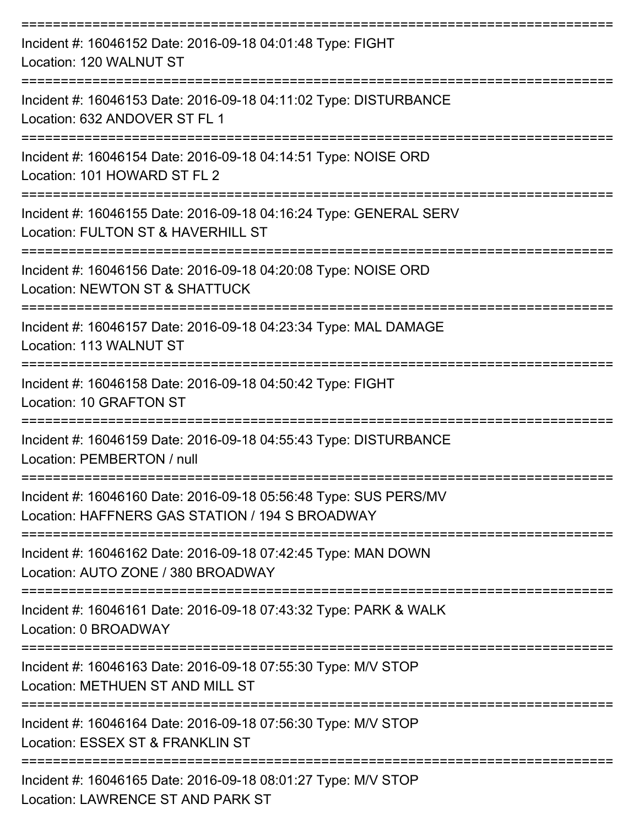| Incident #: 16046152 Date: 2016-09-18 04:01:48 Type: FIGHT<br>Location: 120 WALNUT ST                               |
|---------------------------------------------------------------------------------------------------------------------|
| Incident #: 16046153 Date: 2016-09-18 04:11:02 Type: DISTURBANCE<br>Location: 632 ANDOVER ST FL 1                   |
| Incident #: 16046154 Date: 2016-09-18 04:14:51 Type: NOISE ORD<br>Location: 101 HOWARD ST FL 2                      |
| Incident #: 16046155 Date: 2016-09-18 04:16:24 Type: GENERAL SERV<br>Location: FULTON ST & HAVERHILL ST             |
| Incident #: 16046156 Date: 2016-09-18 04:20:08 Type: NOISE ORD<br>Location: NEWTON ST & SHATTUCK                    |
| Incident #: 16046157 Date: 2016-09-18 04:23:34 Type: MAL DAMAGE<br>Location: 113 WALNUT ST                          |
| -------------------<br>Incident #: 16046158 Date: 2016-09-18 04:50:42 Type: FIGHT<br>Location: 10 GRAFTON ST        |
| Incident #: 16046159 Date: 2016-09-18 04:55:43 Type: DISTURBANCE<br>Location: PEMBERTON / null                      |
| Incident #: 16046160 Date: 2016-09-18 05:56:48 Type: SUS PERS/MV<br>Location: HAFFNERS GAS STATION / 194 S BROADWAY |
| Incident #: 16046162 Date: 2016-09-18 07:42:45 Type: MAN DOWN<br>Location: AUTO ZONE / 380 BROADWAY                 |
| Incident #: 16046161 Date: 2016-09-18 07:43:32 Type: PARK & WALK<br>Location: 0 BROADWAY                            |
| Incident #: 16046163 Date: 2016-09-18 07:55:30 Type: M/V STOP<br>Location: METHUEN ST AND MILL ST                   |
| Incident #: 16046164 Date: 2016-09-18 07:56:30 Type: M/V STOP<br>Location: ESSEX ST & FRANKLIN ST                   |
| Incident #: 16046165 Date: 2016-09-18 08:01:27 Type: M/V STOP<br>Location: LAWRENCE ST AND PARK ST                  |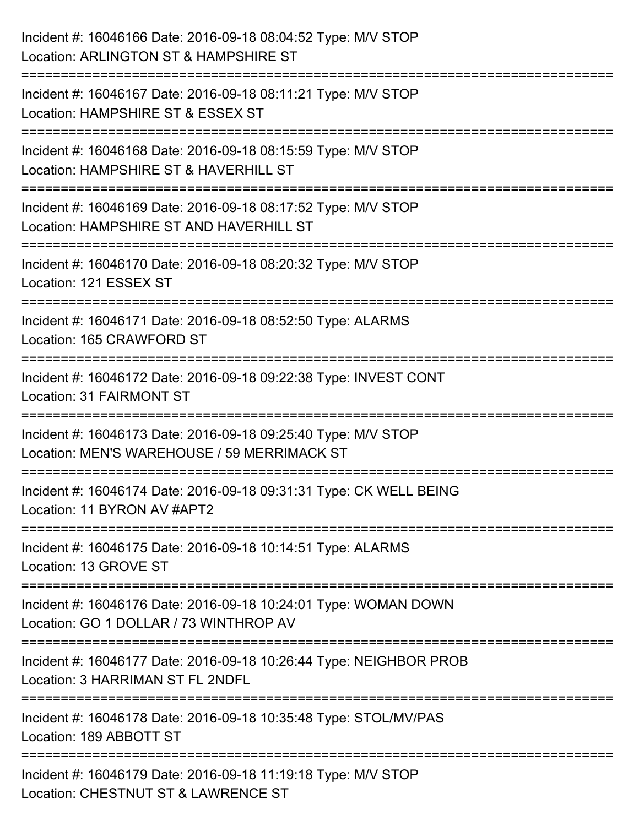| Incident #: 16046166 Date: 2016-09-18 08:04:52 Type: M/V STOP<br>Location: ARLINGTON ST & HAMPSHIRE ST                        |
|-------------------------------------------------------------------------------------------------------------------------------|
| ;======================<br>Incident #: 16046167 Date: 2016-09-18 08:11:21 Type: M/V STOP<br>Location: HAMPSHIRE ST & ESSEX ST |
| Incident #: 16046168 Date: 2016-09-18 08:15:59 Type: M/V STOP<br>Location: HAMPSHIRE ST & HAVERHILL ST                        |
| Incident #: 16046169 Date: 2016-09-18 08:17:52 Type: M/V STOP<br>Location: HAMPSHIRE ST AND HAVERHILL ST                      |
| Incident #: 16046170 Date: 2016-09-18 08:20:32 Type: M/V STOP<br>Location: 121 ESSEX ST<br>================================   |
| Incident #: 16046171 Date: 2016-09-18 08:52:50 Type: ALARMS<br>Location: 165 CRAWFORD ST                                      |
| Incident #: 16046172 Date: 2016-09-18 09:22:38 Type: INVEST CONT<br><b>Location: 31 FAIRMONT ST</b>                           |
| Incident #: 16046173 Date: 2016-09-18 09:25:40 Type: M/V STOP<br>Location: MEN'S WAREHOUSE / 59 MERRIMACK ST                  |
| Incident #: 16046174 Date: 2016-09-18 09:31:31 Type: CK WELL BEING<br>Location: 11 BYRON AV #APT2                             |
| Incident #: 16046175 Date: 2016-09-18 10:14:51 Type: ALARMS<br>Location: 13 GROVE ST                                          |
| Incident #: 16046176 Date: 2016-09-18 10:24:01 Type: WOMAN DOWN<br>Location: GO 1 DOLLAR / 73 WINTHROP AV                     |
| Incident #: 16046177 Date: 2016-09-18 10:26:44 Type: NEIGHBOR PROB<br>Location: 3 HARRIMAN ST FL 2NDFL                        |
| Incident #: 16046178 Date: 2016-09-18 10:35:48 Type: STOL/MV/PAS<br>Location: 189 ABBOTT ST                                   |
| Incident #: 16046179 Date: 2016-09-18 11:19:18 Type: M/V STOP<br>Location: CHESTNUT ST & LAWRENCE ST                          |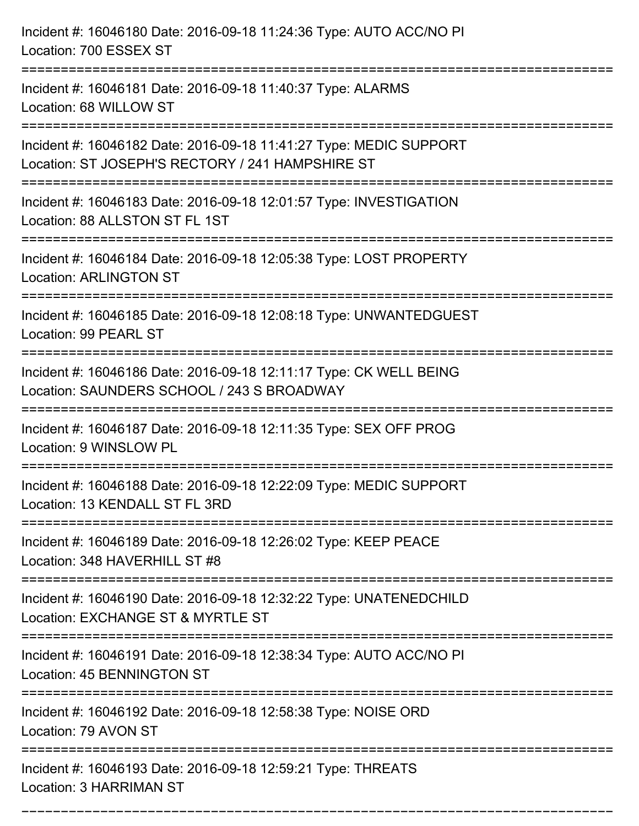| Incident #: 16046180 Date: 2016-09-18 11:24:36 Type: AUTO ACC/NO PI<br>Location: 700 ESSEX ST                                                                             |
|---------------------------------------------------------------------------------------------------------------------------------------------------------------------------|
| Incident #: 16046181 Date: 2016-09-18 11:40:37 Type: ALARMS<br>Location: 68 WILLOW ST                                                                                     |
| :===================<br>Incident #: 16046182 Date: 2016-09-18 11:41:27 Type: MEDIC SUPPORT<br>Location: ST JOSEPH'S RECTORY / 241 HAMPSHIRE ST<br>======================= |
| Incident #: 16046183 Date: 2016-09-18 12:01:57 Type: INVESTIGATION<br>Location: 88 ALLSTON ST FL 1ST                                                                      |
| Incident #: 16046184 Date: 2016-09-18 12:05:38 Type: LOST PROPERTY<br><b>Location: ARLINGTON ST</b>                                                                       |
| Incident #: 16046185 Date: 2016-09-18 12:08:18 Type: UNWANTEDGUEST<br>Location: 99 PEARL ST                                                                               |
| Incident #: 16046186 Date: 2016-09-18 12:11:17 Type: CK WELL BEING<br>Location: SAUNDERS SCHOOL / 243 S BROADWAY                                                          |
| Incident #: 16046187 Date: 2016-09-18 12:11:35 Type: SEX OFF PROG<br>Location: 9 WINSLOW PL                                                                               |
| Incident #: 16046188 Date: 2016-09-18 12:22:09 Type: MEDIC SUPPORT<br>Location: 13 KENDALL ST FL 3RD                                                                      |
| Incident #: 16046189 Date: 2016-09-18 12:26:02 Type: KEEP PEACE<br>Location: 348 HAVERHILL ST #8                                                                          |
| Incident #: 16046190 Date: 2016-09-18 12:32:22 Type: UNATENEDCHILD<br>Location: EXCHANGE ST & MYRTLE ST                                                                   |
| Incident #: 16046191 Date: 2016-09-18 12:38:34 Type: AUTO ACC/NO PI<br>Location: 45 BENNINGTON ST                                                                         |
| Incident #: 16046192 Date: 2016-09-18 12:58:38 Type: NOISE ORD<br>Location: 79 AVON ST                                                                                    |
| Incident #: 16046193 Date: 2016-09-18 12:59:21 Type: THREATS<br>Location: 3 HARRIMAN ST                                                                                   |

===========================================================================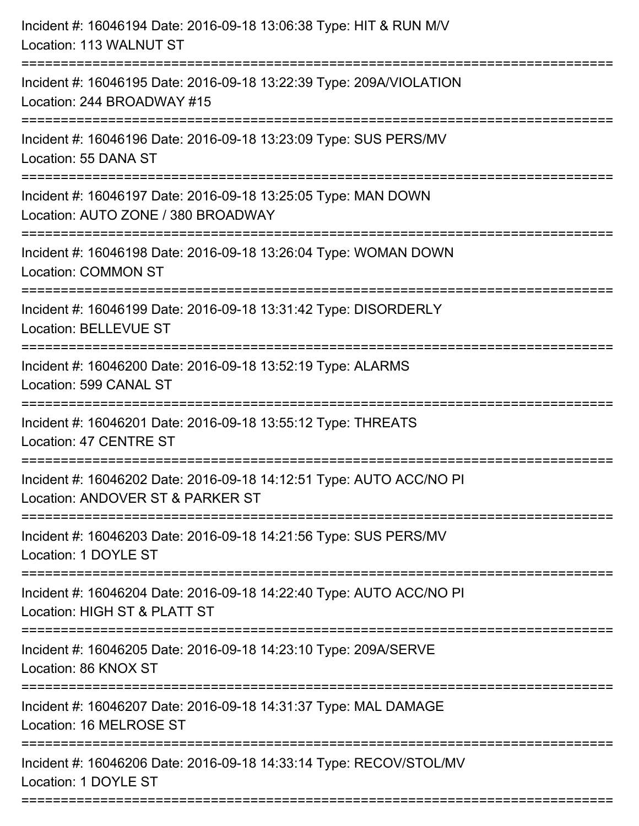| Incident #: 16046194 Date: 2016-09-18 13:06:38 Type: HIT & RUN M/V<br>Location: 113 WALNUT ST                                    |
|----------------------------------------------------------------------------------------------------------------------------------|
| Incident #: 16046195 Date: 2016-09-18 13:22:39 Type: 209A/VIOLATION<br>Location: 244 BROADWAY #15                                |
| Incident #: 16046196 Date: 2016-09-18 13:23:09 Type: SUS PERS/MV<br>Location: 55 DANA ST                                         |
| Incident #: 16046197 Date: 2016-09-18 13:25:05 Type: MAN DOWN<br>Location: AUTO ZONE / 380 BROADWAY                              |
| Incident #: 16046198 Date: 2016-09-18 13:26:04 Type: WOMAN DOWN<br><b>Location: COMMON ST</b>                                    |
| Incident #: 16046199 Date: 2016-09-18 13:31:42 Type: DISORDERLY<br><b>Location: BELLEVUE ST</b>                                  |
| Incident #: 16046200 Date: 2016-09-18 13:52:19 Type: ALARMS<br>Location: 599 CANAL ST                                            |
| Incident #: 16046201 Date: 2016-09-18 13:55:12 Type: THREATS<br>Location: 47 CENTRE ST                                           |
| Incident #: 16046202 Date: 2016-09-18 14:12:51 Type: AUTO ACC/NO PI<br>Location: ANDOVER ST & PARKER ST                          |
| Incident #: 16046203 Date: 2016-09-18 14:21:56 Type: SUS PERS/MV<br>Location: 1 DOYLE ST                                         |
| Incident #: 16046204 Date: 2016-09-18 14:22:40 Type: AUTO ACC/NO PI<br>Location: HIGH ST & PLATT ST                              |
| Incident #: 16046205 Date: 2016-09-18 14:23:10 Type: 209A/SERVE<br>Location: 86 KNOX ST                                          |
| ==================================<br>Incident #: 16046207 Date: 2016-09-18 14:31:37 Type: MAL DAMAGE<br>Location: 16 MELROSE ST |
| Incident #: 16046206 Date: 2016-09-18 14:33:14 Type: RECOV/STOL/MV<br>Location: 1 DOYLE ST                                       |
|                                                                                                                                  |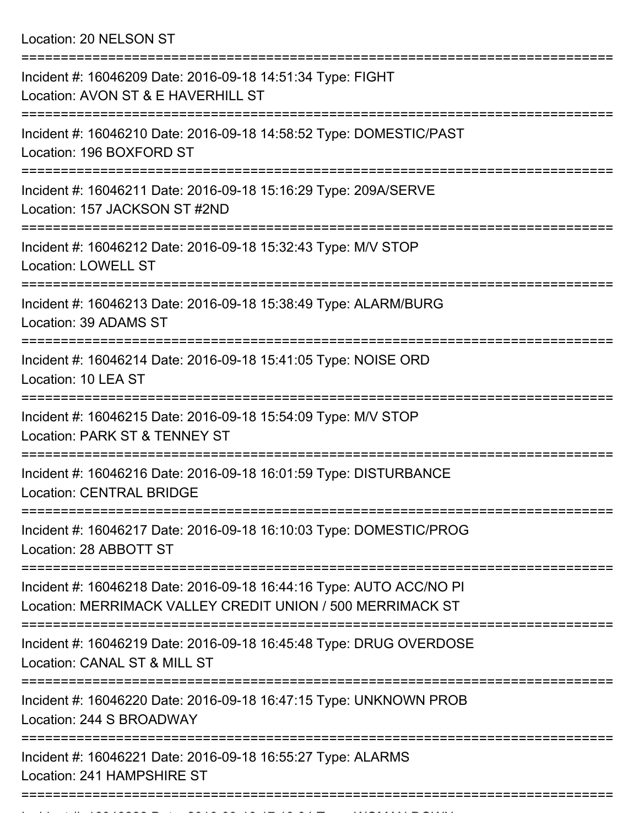Location: 20 NELSON ST

| Incident #: 16046209 Date: 2016-09-18 14:51:34 Type: FIGHT<br>Location: AVON ST & E HAVERHILL ST                                                         |
|----------------------------------------------------------------------------------------------------------------------------------------------------------|
| Incident #: 16046210 Date: 2016-09-18 14:58:52 Type: DOMESTIC/PAST<br>Location: 196 BOXFORD ST                                                           |
| Incident #: 16046211 Date: 2016-09-18 15:16:29 Type: 209A/SERVE<br>Location: 157 JACKSON ST #2ND                                                         |
| Incident #: 16046212 Date: 2016-09-18 15:32:43 Type: M/V STOP<br><b>Location: LOWELL ST</b>                                                              |
| Incident #: 16046213 Date: 2016-09-18 15:38:49 Type: ALARM/BURG<br>Location: 39 ADAMS ST                                                                 |
| Incident #: 16046214 Date: 2016-09-18 15:41:05 Type: NOISE ORD<br>Location: 10 LEA ST                                                                    |
| Incident #: 16046215 Date: 2016-09-18 15:54:09 Type: M/V STOP<br>Location: PARK ST & TENNEY ST                                                           |
| Incident #: 16046216 Date: 2016-09-18 16:01:59 Type: DISTURBANCE<br><b>Location: CENTRAL BRIDGE</b>                                                      |
| Incident #: 16046217 Date: 2016-09-18 16:10:03 Type: DOMESTIC/PROG<br>Location: 28 ABBOTT ST                                                             |
| ===================<br>Incident #: 16046218 Date: 2016-09-18 16:44:16 Type: AUTO ACC/NO PI<br>Location: MERRIMACK VALLEY CREDIT UNION / 500 MERRIMACK ST |
| Incident #: 16046219 Date: 2016-09-18 16:45:48 Type: DRUG OVERDOSE<br>Location: CANAL ST & MILL ST                                                       |
| Incident #: 16046220 Date: 2016-09-18 16:47:15 Type: UNKNOWN PROB<br>Location: 244 S BROADWAY                                                            |
| Incident #: 16046221 Date: 2016-09-18 16:55:27 Type: ALARMS<br>Location: 241 HAMPSHIRE ST                                                                |
|                                                                                                                                                          |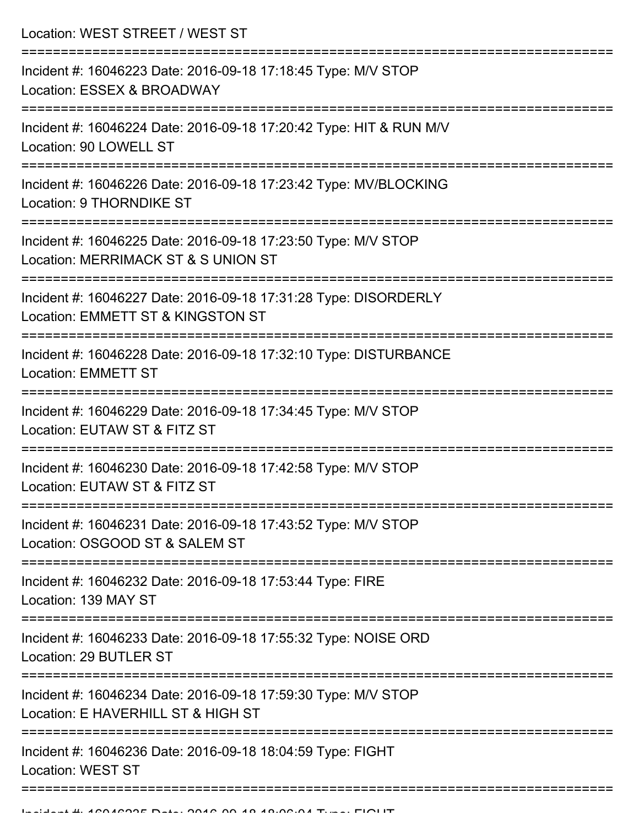Location: WEST STREET / WEST ST =========================================================================== Incident #: 16046223 Date: 2016-09-18 17:18:45 Type: M/V STOP Location: ESSEX & BROADWAY =========================================================================== Incident #: 16046224 Date: 2016-09-18 17:20:42 Type: HIT & RUN M/V Location: 90 LOWELL ST =========================================================================== Incident #: 16046226 Date: 2016-09-18 17:23:42 Type: MV/BLOCKING Location: 9 THORNDIKE ST =========================================================================== Incident #: 16046225 Date: 2016-09-18 17:23:50 Type: M/V STOP Location: MERRIMACK ST & S UNION ST =========================================================================== Incident #: 16046227 Date: 2016-09-18 17:31:28 Type: DISORDERLY Location: EMMETT ST & KINGSTON ST =========================================================================== Incident #: 16046228 Date: 2016-09-18 17:32:10 Type: DISTURBANCE Location: EMMETT ST =========================================================================== Incident #: 16046229 Date: 2016-09-18 17:34:45 Type: M/V STOP Location: EUTAW ST & FITZ ST =========================================================================== Incident #: 16046230 Date: 2016-09-18 17:42:58 Type: M/V STOP Location: EUTAW ST & FITZ ST =========================================================================== Incident #: 16046231 Date: 2016-09-18 17:43:52 Type: M/V STOP Location: OSGOOD ST & SALEM ST =========================================================================== Incident #: 16046232 Date: 2016-09-18 17:53:44 Type: FIRE Location: 139 MAY ST =========================================================================== Incident #: 16046233 Date: 2016-09-18 17:55:32 Type: NOISE ORD Location: 29 BUTLER ST =========================================================================== Incident #: 16046234 Date: 2016-09-18 17:59:30 Type: M/V STOP Location: F HAVERHILL ST & HIGH ST =========================================================================== Incident #: 16046236 Date: 2016-09-18 18:04:59 Type: FIGHT

Location: WEST ST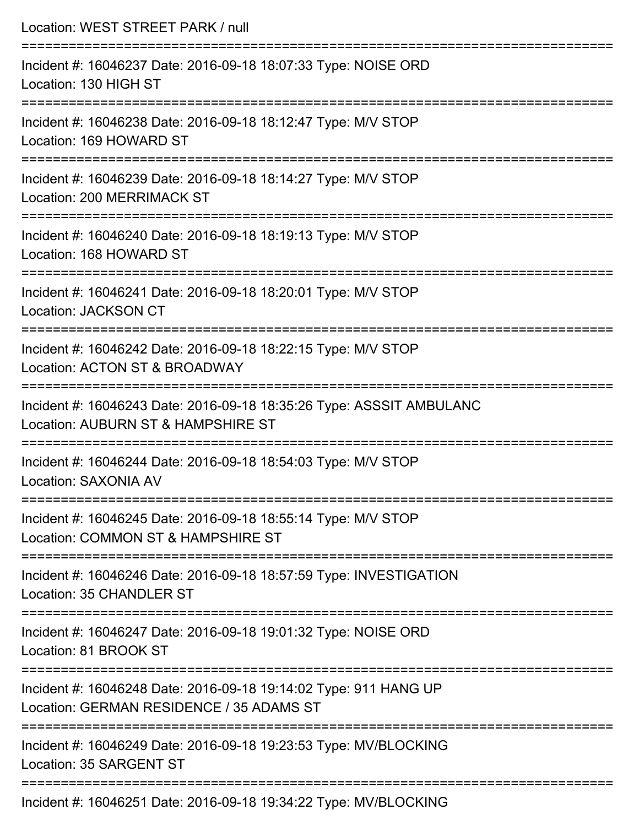| Location: WEST STREET PARK / null                                                                                                 |
|-----------------------------------------------------------------------------------------------------------------------------------|
| Incident #: 16046237 Date: 2016-09-18 18:07:33 Type: NOISE ORD<br>Location: 130 HIGH ST                                           |
| Incident #: 16046238 Date: 2016-09-18 18:12:47 Type: M/V STOP<br>Location: 169 HOWARD ST<br>:==================================== |
| Incident #: 16046239 Date: 2016-09-18 18:14:27 Type: M/V STOP<br>Location: 200 MERRIMACK ST                                       |
| =================================<br>Incident #: 16046240 Date: 2016-09-18 18:19:13 Type: M/V STOP<br>Location: 168 HOWARD ST     |
| Incident #: 16046241 Date: 2016-09-18 18:20:01 Type: M/V STOP<br>Location: JACKSON CT                                             |
| Incident #: 16046242 Date: 2016-09-18 18:22:15 Type: M/V STOP<br>Location: ACTON ST & BROADWAY                                    |
| Incident #: 16046243 Date: 2016-09-18 18:35:26 Type: ASSSIT AMBULANC<br>Location: AUBURN ST & HAMPSHIRE ST                        |
| Incident #: 16046244 Date: 2016-09-18 18:54:03 Type: M/V STOP<br>Location: SAXONIA AV                                             |
| Incident #: 16046245 Date: 2016-09-18 18:55:14 Type: M/V STOP<br>Location: COMMON ST & HAMPSHIRE ST                               |
| Incident #: 16046246 Date: 2016-09-18 18:57:59 Type: INVESTIGATION<br>Location: 35 CHANDLER ST                                    |
| Incident #: 16046247 Date: 2016-09-18 19:01:32 Type: NOISE ORD<br>Location: 81 BROOK ST                                           |
| Incident #: 16046248 Date: 2016-09-18 19:14:02 Type: 911 HANG UP<br>Location: GERMAN RESIDENCE / 35 ADAMS ST                      |
| Incident #: 16046249 Date: 2016-09-18 19:23:53 Type: MV/BLOCKING<br>Location: 35 SARGENT ST                                       |
|                                                                                                                                   |

Incident #: 16046251 Date: 2016-09-18 19:34:22 Type: MV/BLOCKING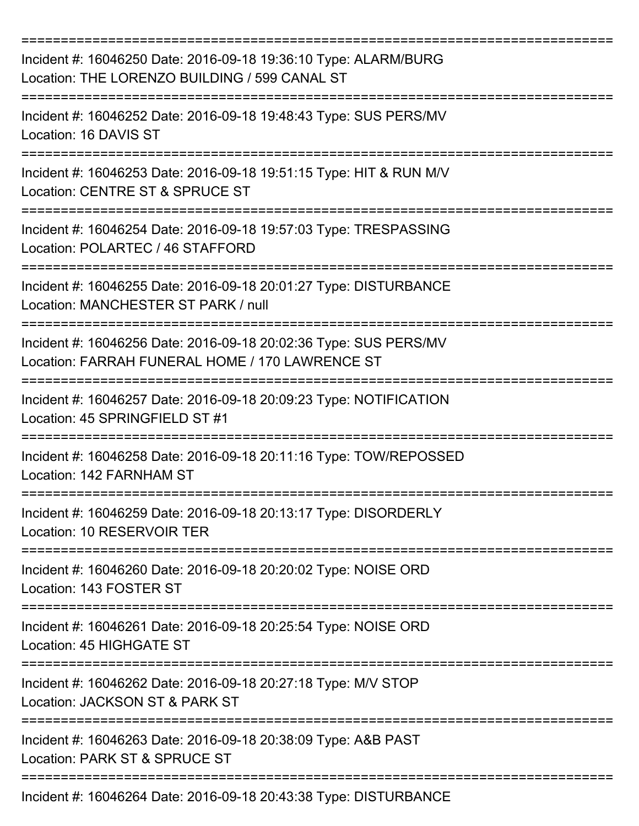| Incident #: 16046250 Date: 2016-09-18 19:36:10 Type: ALARM/BURG<br>Location: THE LORENZO BUILDING / 599 CANAL ST    |
|---------------------------------------------------------------------------------------------------------------------|
| Incident #: 16046252 Date: 2016-09-18 19:48:43 Type: SUS PERS/MV<br>Location: 16 DAVIS ST                           |
| Incident #: 16046253 Date: 2016-09-18 19:51:15 Type: HIT & RUN M/V<br>Location: CENTRE ST & SPRUCE ST               |
| Incident #: 16046254 Date: 2016-09-18 19:57:03 Type: TRESPASSING<br>Location: POLARTEC / 46 STAFFORD                |
| Incident #: 16046255 Date: 2016-09-18 20:01:27 Type: DISTURBANCE<br>Location: MANCHESTER ST PARK / null             |
| Incident #: 16046256 Date: 2016-09-18 20:02:36 Type: SUS PERS/MV<br>Location: FARRAH FUNERAL HOME / 170 LAWRENCE ST |
| Incident #: 16046257 Date: 2016-09-18 20:09:23 Type: NOTIFICATION<br>Location: 45 SPRINGFIELD ST #1                 |
| Incident #: 16046258 Date: 2016-09-18 20:11:16 Type: TOW/REPOSSED<br>Location: 142 FARNHAM ST                       |
| -------------<br>Incident #: 16046259 Date: 2016-09-18 20:13:17 Type: DISORDERLY<br>Location: 10 RESERVOIR TER      |
| Incident #: 16046260 Date: 2016-09-18 20:20:02 Type: NOISE ORD<br>Location: 143 FOSTER ST                           |
| Incident #: 16046261 Date: 2016-09-18 20:25:54 Type: NOISE ORD<br>Location: 45 HIGHGATE ST                          |
| Incident #: 16046262 Date: 2016-09-18 20:27:18 Type: M/V STOP<br>Location: JACKSON ST & PARK ST                     |
| Incident #: 16046263 Date: 2016-09-18 20:38:09 Type: A&B PAST<br>Location: PARK ST & SPRUCE ST                      |
| Incident #: 16046264 Date: 2016-09-18 20:43:38 Type: DISTURBANCE                                                    |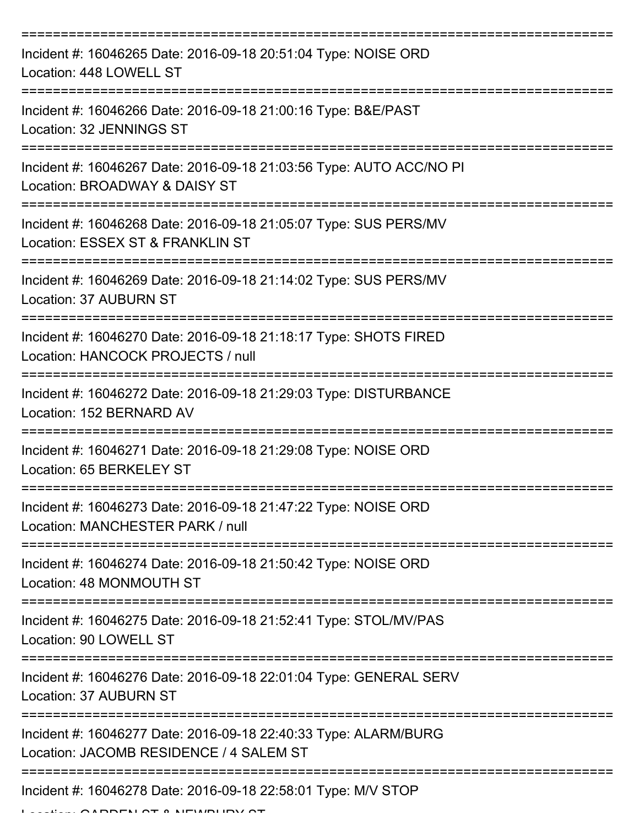| Incident #: 16046265 Date: 2016-09-18 20:51:04 Type: NOISE ORD<br>Location: 448 LOWELL ST                     |
|---------------------------------------------------------------------------------------------------------------|
| Incident #: 16046266 Date: 2016-09-18 21:00:16 Type: B&E/PAST<br>Location: 32 JENNINGS ST                     |
| Incident #: 16046267 Date: 2016-09-18 21:03:56 Type: AUTO ACC/NO PI<br>Location: BROADWAY & DAISY ST          |
| Incident #: 16046268 Date: 2016-09-18 21:05:07 Type: SUS PERS/MV<br>Location: ESSEX ST & FRANKLIN ST          |
| Incident #: 16046269 Date: 2016-09-18 21:14:02 Type: SUS PERS/MV<br>Location: 37 AUBURN ST                    |
| Incident #: 16046270 Date: 2016-09-18 21:18:17 Type: SHOTS FIRED<br>Location: HANCOCK PROJECTS / null         |
| Incident #: 16046272 Date: 2016-09-18 21:29:03 Type: DISTURBANCE<br>Location: 152 BERNARD AV<br>============= |
| Incident #: 16046271 Date: 2016-09-18 21:29:08 Type: NOISE ORD<br>Location: 65 BERKELEY ST                    |
| Incident #: 16046273 Date: 2016-09-18 21:47:22 Type: NOISE ORD<br>Location: MANCHESTER PARK / null            |
| Incident #: 16046274 Date: 2016-09-18 21:50:42 Type: NOISE ORD<br>Location: 48 MONMOUTH ST                    |
| Incident #: 16046275 Date: 2016-09-18 21:52:41 Type: STOL/MV/PAS<br>Location: 90 LOWELL ST                    |
| Incident #: 16046276 Date: 2016-09-18 22:01:04 Type: GENERAL SERV<br>Location: 37 AUBURN ST                   |
| Incident #: 16046277 Date: 2016-09-18 22:40:33 Type: ALARM/BURG<br>Location: JACOMB RESIDENCE / 4 SALEM ST    |
| Incident #: 16046278 Date: 2016-09-18 22:58:01 Type: M/V STOP                                                 |